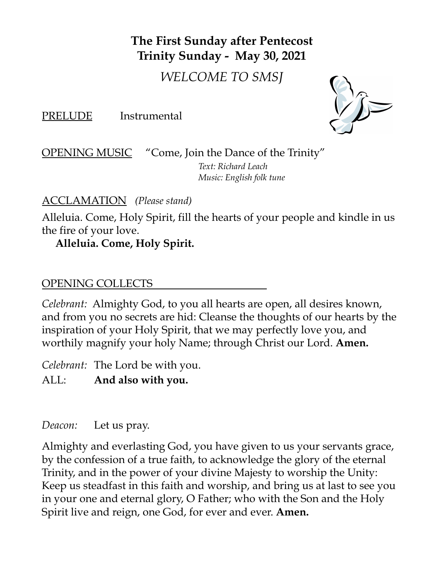# **The First Sunday after Pentecost Trinity Sunday - May 30, 2021**

*WELCOME TO SMSJ*

PRELUDE Instrumental



OPENING MUSIC "Come, Join the Dance of the Trinity"

*Text: Richard Leach Music: English folk tune*

ACCLAMATION *(Please stand)*

Alleluia. Come, Holy Spirit, fill the hearts of your people and kindle in us the fire of your love.

## **Alleluia. Come, Holy Spirit.**

#### OPENING COLLECTS

*Celebrant:* Almighty God, to you all hearts are open, all desires known, and from you no secrets are hid: Cleanse the thoughts of our hearts by the inspiration of your Holy Spirit, that we may perfectly love you, and worthily magnify your holy Name; through Christ our Lord. **Amen.**

*Celebrant:* The Lord be with you.

ALL: **And also with you.**

*Deacon:* Let us pray.

Almighty and everlasting God, you have given to us your servants grace, by the confession of a true faith, to acknowledge the glory of the eternal Trinity, and in the power of your divine Majesty to worship the Unity: Keep us steadfast in this faith and worship, and bring us at last to see you in your one and eternal glory, O Father; who with the Son and the Holy Spirit live and reign, one God, for ever and ever. **Amen.**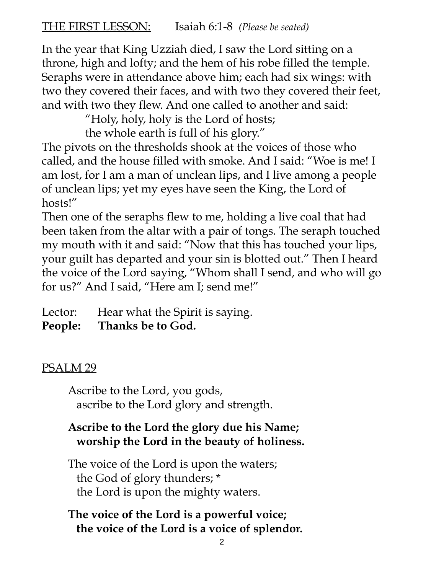# THE FIRST LESSON: Isaiah 6:1-8 *(Please be seated)*

In the year that King Uzziah died, I saw the Lord sitting on a throne, high and lofty; and the hem of his robe filled the temple. Seraphs were in attendance above him; each had six wings: with two they covered their faces, and with two they covered their feet, and with two they flew. And one called to another and said:

"Holy, holy, holy is the Lord of hosts;

the whole earth is full of his glory."

The pivots on the thresholds shook at the voices of those who called, and the house filled with smoke. And I said: "Woe is me! I am lost, for I am a man of unclean lips, and I live among a people of unclean lips; yet my eyes have seen the King, the Lord of hosts!"

Then one of the seraphs flew to me, holding a live coal that had been taken from the altar with a pair of tongs. The seraph touched my mouth with it and said: "Now that this has touched your lips, your guilt has departed and your sin is blotted out." Then I heard the voice of the Lord saying, "Whom shall I send, and who will go for us?" And I said, "Here am I; send me!"

Lector: Hear what the Spirit is saying.

**People: Thanks be to God.**

# PSALM<sub>29</sub>

Ascribe to the Lord, you gods, ascribe to the Lord glory and strength.

# **Ascribe to the Lord the glory due his Name; worship the Lord in the beauty of holiness.**

The voice of the Lord is upon the waters; the God of glory thunders; \* the Lord is upon the mighty waters.

# **The voice of the Lord is a powerful voice; the voice of the Lord is a voice of splendor.**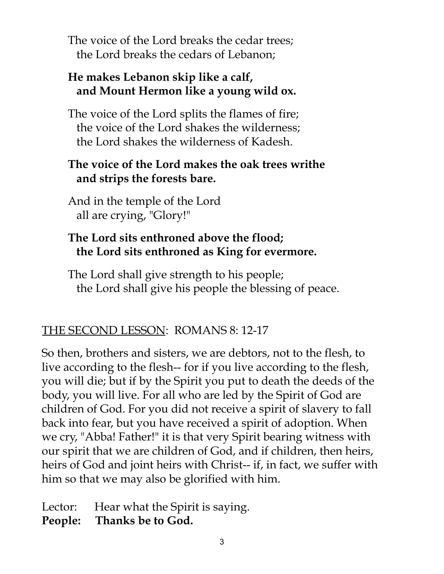The voice of the Lord breaks the cedar trees; the Lord breaks the cedars of Lebanon;

### **He makes Lebanon skip like a calf, and Mount Hermon like a young wild ox.**

The voice of the Lord splits the flames of fire; the voice of the Lord shakes the wilderness; the Lord shakes the wilderness of Kadesh.

# **The voice of the Lord makes the oak trees writhe and strips the forests bare.**

And in the temple of the Lord all are crying, "Glory!"

# **The Lord sits enthroned above the flood; the Lord sits enthroned as King for evermore.**

The Lord shall give strength to his people; the Lord shall give his people the blessing of peace.

# THE SECOND LESSON: ROMANS 8: 12-17

So then, brothers and sisters, we are debtors, not to the flesh, to live according to the flesh-- for if you live according to the flesh, you will die; but if by the Spirit you put to death the deeds of the body, you will live. For all who are led by the Spirit of God are children of God. For you did not receive a spirit of slavery to fall back into fear, but you have received a spirit of adoption. When we cry, "Abba! Father!" it is that very Spirit bearing witness with our spirit that we are children of God, and if children, then heirs, heirs of God and joint heirs with Christ-- if, in fact, we suffer with him so that we may also be glorified with him.

Lector: Hear what the Spirit is saying.

**People: Thanks be to God.**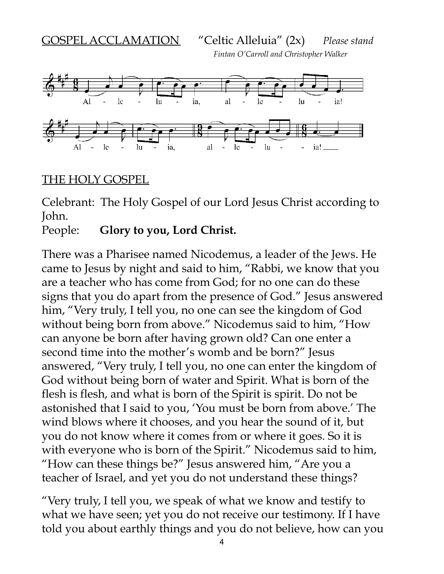GOSPEL ACCLAMATION "Celtic Alleluia" (2x) *Please stand*

*Fintan O'Carroll and Christopher Walker*



#### THE HOLY GOSPEL

Celebrant: The Holy Gospel of our Lord Jesus Christ according to John.

People: **Glory to you, Lord Christ.**

There was a Pharisee named Nicodemus, a leader of the Jews. He came to Jesus by night and said to him, "Rabbi, we know that you are a teacher who has come from God; for no one can do these signs that you do apart from the presence of God." Jesus answered him, "Very truly, I tell you, no one can see the kingdom of God without being born from above." Nicodemus said to him, "How can anyone be born after having grown old? Can one enter a second time into the mother's womb and be born?" Jesus answered, "Very truly, I tell you, no one can enter the kingdom of God without being born of water and Spirit. What is born of the flesh is flesh, and what is born of the Spirit is spirit. Do not be astonished that I said to you, 'You must be born from above.' The wind blows where it chooses, and you hear the sound of it, but you do not know where it comes from or where it goes. So it is with everyone who is born of the Spirit." Nicodemus said to him, "How can these things be?" Jesus answered him, "Are you a teacher of Israel, and yet you do not understand these things?

"Very truly, I tell you, we speak of what we know and testify to what we have seen; yet you do not receive our testimony. If I have told you about earthly things and you do not believe, how can you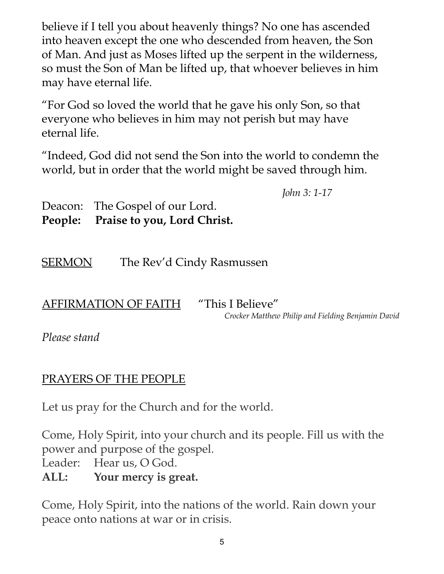believe if I tell you about heavenly things? No one has ascended into heaven except the one who descended from heaven, the Son of Man. And just as Moses lifted up the serpent in the wilderness, so must the Son of Man be lifted up, that whoever believes in him may have eternal life.

"For God so loved the world that he gave his only Son, so that everyone who believes in him may not perish but may have eternal life.

"Indeed, God did not send the Son into the world to condemn the world, but in order that the world might be saved through him.

*John 3: 1-17*

Deacon: The Gospel of our Lord. **People: Praise to you, Lord Christ.**

SERMON The Rev'd Cindy Rasmussen

AFFIRMATION OF FAITH "This I Believe"

*Crocker Matthew Philip and Fielding Benjamin David*

*Please stand*

# PRAYERS OF THE PEOPLE

Let us pray for the Church and for the world.

Come, Holy Spirit, into your church and its people. Fill us with the power and purpose of the gospel.

Leader: Hear us, O God.

**ALL: Your mercy is great.**

Come, Holy Spirit, into the nations of the world. Rain down your peace onto nations at war or in crisis.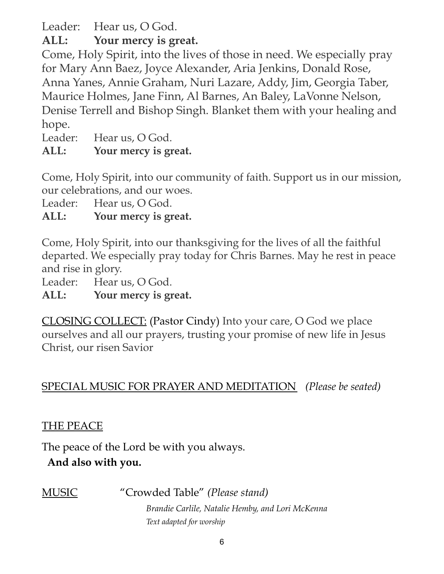Leader: Hear us, O God.

**ALL: Your mercy is great.**

Come, Holy Spirit, into the lives of those in need. We especially pray for Mary Ann Baez, Joyce Alexander, Aria Jenkins, Donald Rose, Anna Yanes, Annie Graham, Nuri Lazare, Addy, Jim, Georgia Taber, Maurice Holmes, Jane Finn, Al Barnes, An Baley, LaVonne Nelson, Denise Terrell and Bishop Singh. Blanket them with your healing and hope.

Leader: Hear us, O God.

# **ALL: Your mercy is great.**

Come, Holy Spirit, into our community of faith. Support us in our mission, our celebrations, and our woes.

Leader: Hear us, O God.

**ALL: Your mercy is great.**

Come, Holy Spirit, into our thanksgiving for the lives of all the faithful departed. We especially pray today for Chris Barnes. May he rest in peace and rise in glory.

Leader: Hear us, O God.

**ALL: Your mercy is great.**

CLOSING COLLECT: (Pastor Cindy) Into your care, O God we place ourselves and all our prayers, trusting your promise of new life in Jesus Christ, our risen Savior

SPECIAL MUSIC FOR PRAYER AND MEDITATION *(Please be seated)*

### THE PEACE

The peace of the Lord be with you always.

### **And also with you.**

MUSIC "Crowded Table" *(Please stand)*

*Brandie Carlile, Natalie Hemby, and Lori McKenna Text adapted for worship*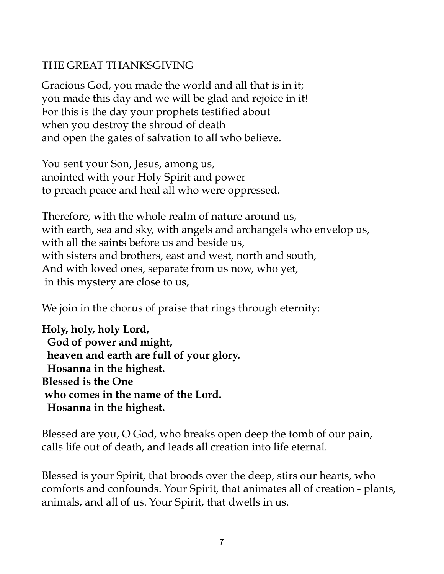## THE GREAT THANKSGIVING

Gracious God, you made the world and all that is in it; you made this day and we will be glad and rejoice in it! For this is the day your prophets testified about when you destroy the shroud of death and open the gates of salvation to all who believe.

You sent your Son, Jesus, among us, anointed with your Holy Spirit and power to preach peace and heal all who were oppressed.

Therefore, with the whole realm of nature around us, with earth, sea and sky, with angels and archangels who envelop us, with all the saints before us and beside us, with sisters and brothers, east and west, north and south, And with loved ones, separate from us now, who yet, in this mystery are close to us,

We join in the chorus of praise that rings through eternity:

**Holy, holy, holy Lord, God of power and might, heaven and earth are full of your glory. Hosanna in the highest. Blessed is the One who comes in the name of the Lord. Hosanna in the highest.**

Blessed are you, O God, who breaks open deep the tomb of our pain, calls life out of death, and leads all creation into life eternal.

Blessed is your Spirit, that broods over the deep, stirs our hearts, who comforts and confounds. Your Spirit, that animates all of creation - plants, animals, and all of us. Your Spirit, that dwells in us.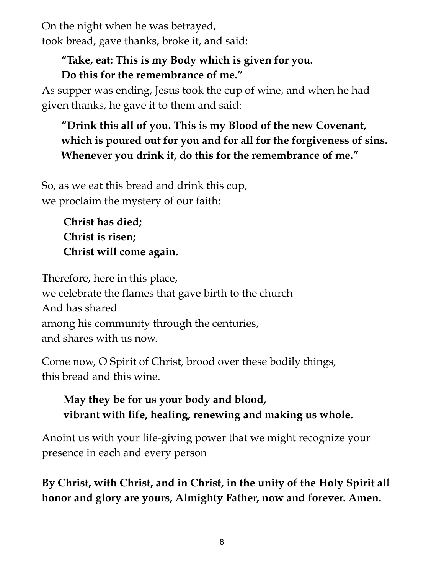On the night when he was betrayed, took bread, gave thanks, broke it, and said:

### **"Take, eat: This is my Body which is given for you. Do this for the remembrance of me."**

As supper was ending, Jesus took the cup of wine, and when he had given thanks, he gave it to them and said:

# **"Drink this all of you. This is my Blood of the new Covenant, which is poured out for you and for all for the forgiveness of sins. Whenever you drink it, do this for the remembrance of me."**

So, as we eat this bread and drink this cup, we proclaim the mystery of our faith:

> **Christ has died; Christ is risen; Christ will come again.**

Therefore, here in this place, we celebrate the flames that gave birth to the church And has shared among his community through the centuries, and shares with us now.

Come now, O Spirit of Christ, brood over these bodily things, this bread and this wine.

# **May they be for us your body and blood, vibrant with life, healing, renewing and making us whole.**

Anoint us with your life-giving power that we might recognize your presence in each and every person

**By Christ, with Christ, and in Christ, in the unity of the Holy Spirit all honor and glory are yours, Almighty Father, now and forever. Amen.**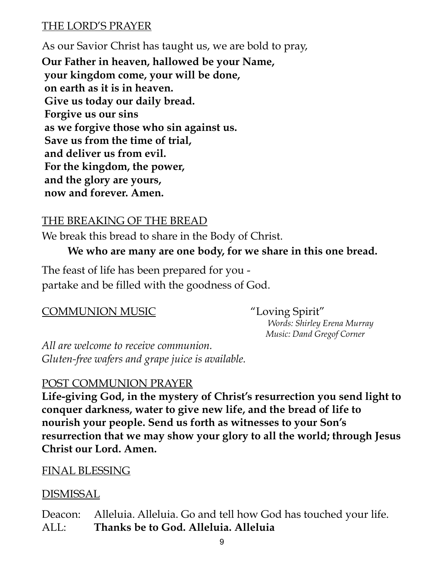#### THE LORD'S PRAYER

As our Savior Christ has taught us, we are bold to pray, **Our Father in heaven, hallowed be your Name, your kingdom come, your will be done, on earth as it is in heaven. Give us today our daily bread. Forgive us our sins as we forgive those who sin against us. Save us from the time of trial, and deliver us from evil. For the kingdom, the power, and the glory are yours, now and forever. Amen.**

#### THE BREAKING OF THE BREAD

We break this bread to share in the Body of Christ.

### **We who are many are one body, for we share in this one bread.**

The feast of life has been prepared for you partake and be filled with the goodness of God.

#### COMMUNION MUSIC "Loving Spirit"

*Words: Shirley Erena Murray Music: Dand Gregof Corner*

*All are welcome to receive communion. Gluten-free wafers and grape juice is available.*

#### POST COMMUNION PRAYER

**Life-giving God, in the mystery of Christ's resurrection you send light to conquer darkness, water to give new life, and the bread of life to nourish your people. Send us forth as witnesses to your Son's resurrection that we may show your glory to all the world; through Jesus Christ our Lord. Amen.**

#### FINAL BLESSING

#### DISMISSAL

Deacon: Alleluia. Alleluia. Go and tell how God has touched your life. ALL: **Thanks be to God. Alleluia. Alleluia**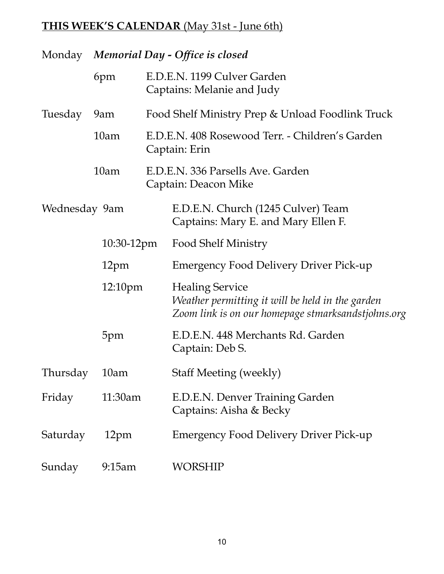# **THIS WEEK'S CALENDAR** (May 31st - June 6th)

|                             | Monday Memorial Day - Office is closed |  |                                                                                                                                  |
|-----------------------------|----------------------------------------|--|----------------------------------------------------------------------------------------------------------------------------------|
|                             | 6pm                                    |  | E.D.E.N. 1199 Culver Garden<br>Captains: Melanie and Judy                                                                        |
| Tuesday                     | 9am                                    |  | Food Shelf Ministry Prep & Unload Foodlink Truck                                                                                 |
|                             | 10 <sub>am</sub>                       |  | E.D.E.N. 408 Rosewood Terr. - Children's Garden<br>Captain: Erin                                                                 |
|                             | 10 <sub>am</sub>                       |  | E.D.E.N. 336 Parsells Ave. Garden<br>Captain: Deacon Mike                                                                        |
| Wednesday 9am<br>10:30-12pm |                                        |  | E.D.E.N. Church (1245 Culver) Team<br>Captains: Mary E. and Mary Ellen F.                                                        |
|                             |                                        |  | <b>Food Shelf Ministry</b>                                                                                                       |
|                             | 12pm                                   |  | <b>Emergency Food Delivery Driver Pick-up</b>                                                                                    |
|                             | 12:10 <sub>pm</sub>                    |  | <b>Healing Service</b><br>Weather permitting it will be held in the garden<br>Zoom link is on our homepage stmarksandstjohns.org |
|                             | 5pm                                    |  | E.D.E.N. 448 Merchants Rd. Garden<br>Captain: Deb S.                                                                             |
| Thursday                    | 10am                                   |  | <b>Staff Meeting (weekly)</b>                                                                                                    |
| Friday                      | 11:30am                                |  | E.D.E.N. Denver Training Garden<br>Captains: Aisha & Becky                                                                       |
| Saturday                    | 12pm                                   |  | <b>Emergency Food Delivery Driver Pick-up</b>                                                                                    |
| Sunday                      | 9:15am                                 |  | WORSHIP                                                                                                                          |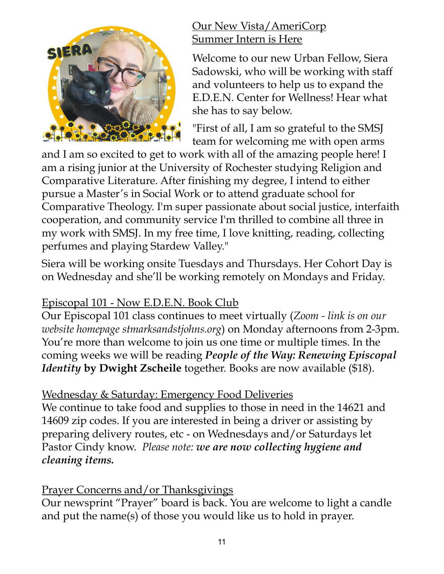

#### Our New Vista/AmeriCorp Summer Intern is Here

Welcome to our new Urban Fellow, Siera Sadowski, who will be working with staff and volunteers to help us to expand the E.D.E.N. Center for Wellness! Hear what she has to say below.

"First of all, I am so grateful to the SMSJ team for welcoming me with open arms

and I am so excited to get to work with all of the amazing people here! I am a rising junior at the University of Rochester studying Religion and Comparative Literature. After finishing my degree, I intend to either pursue a Master's in Social Work or to attend graduate school for Comparative Theology. I'm super passionate about social justice, interfaith cooperation, and community service I'm thrilled to combine all three in my work with SMSJ. In my free time, I love knitting, reading, collecting perfumes and playing Stardew Valley."

Siera will be working onsite Tuesdays and Thursdays. Her Cohort Day is on Wednesday and she'll be working remotely on Mondays and Friday.

# Episcopal 101 - Now E.D.E.N. Book Club

Our Episcopal 101 class continues to meet virtually (*Zoom - link is on our website homepage stmarksandstjohns.org*) on Monday afternoons from 2-3pm. You're more than welcome to join us one time or multiple times. In the coming weeks we will be reading *People of the Way: Renewing Episcopal Identity* **by Dwight Zscheile** together. Books are now available (\$18).

# Wednesday & Saturday: Emergency Food Deliveries

We continue to take food and supplies to those in need in the 14621 and 14609 zip codes. If you are interested in being a driver or assisting by preparing delivery routes, etc - on Wednesdays and/or Saturdays let Pastor Cindy know. *Please note: we are now collecting hygiene and cleaning items.*

# Prayer Concerns and/or Thanksgivings

Our newsprint "Prayer" board is back. You are welcome to light a candle and put the name(s) of those you would like us to hold in prayer.